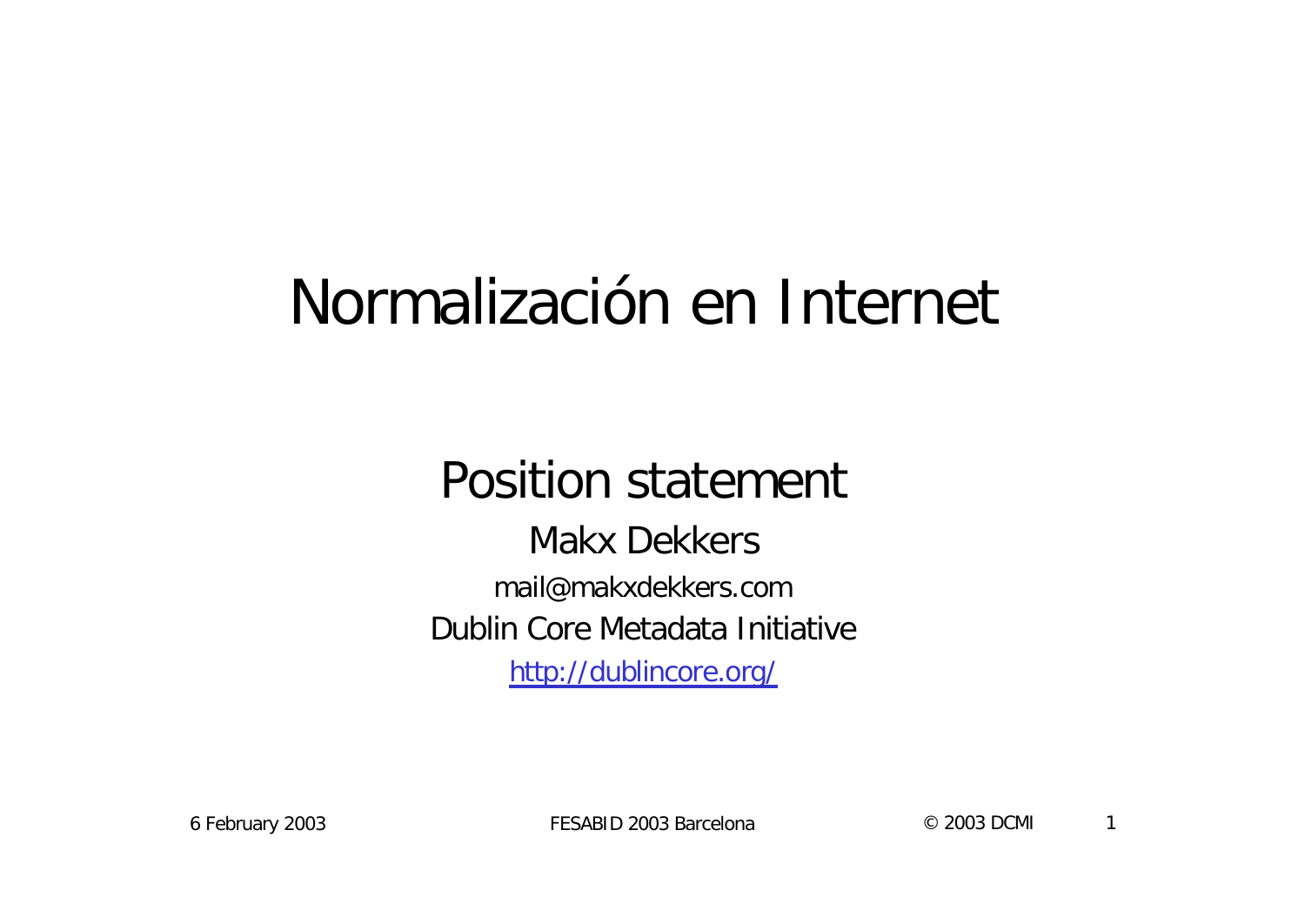### Normalización en Internet

#### Position statement

Makx Dekkers mail@makxdekkers.com Dublin Core Metadata Initiative http://dublincore.org/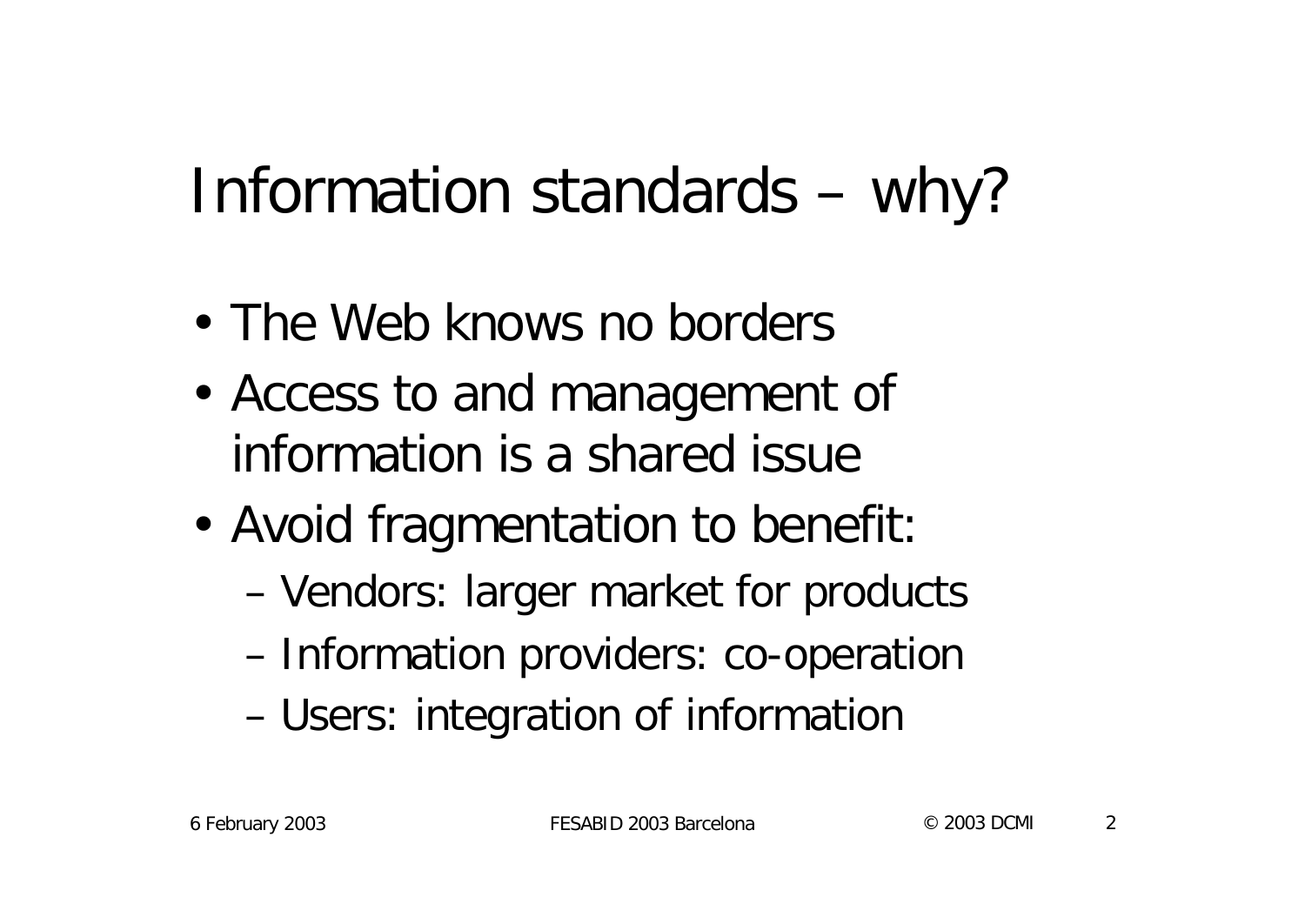# Information standards – why?

- The Web knows no borders
- Access to and management of information is a shared issue
- Avoid fragmentation to benefit:
	- Vendors: larger market for products
	- Information providers: co-operation
	- Users: integration of information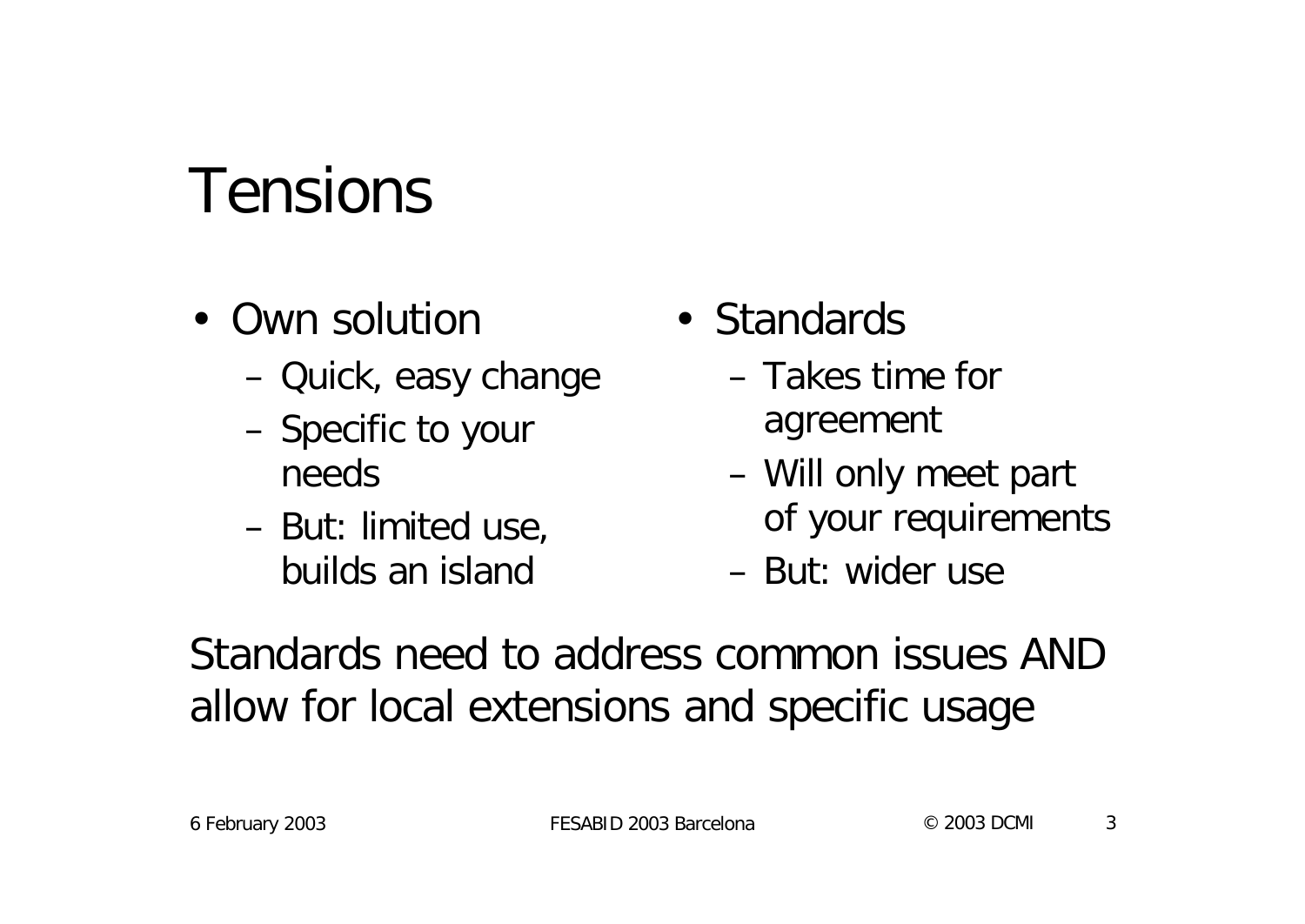### Tensions

- Own solution
	- Quick, easy change
	- Specific to your needs
	- But: limited use, builds an island
- Standards
	- Takes time for agreement
	- Will only meet part of your requirements
	- But: wider use

Standards need to address common issues AND allow for local extensions and specific usage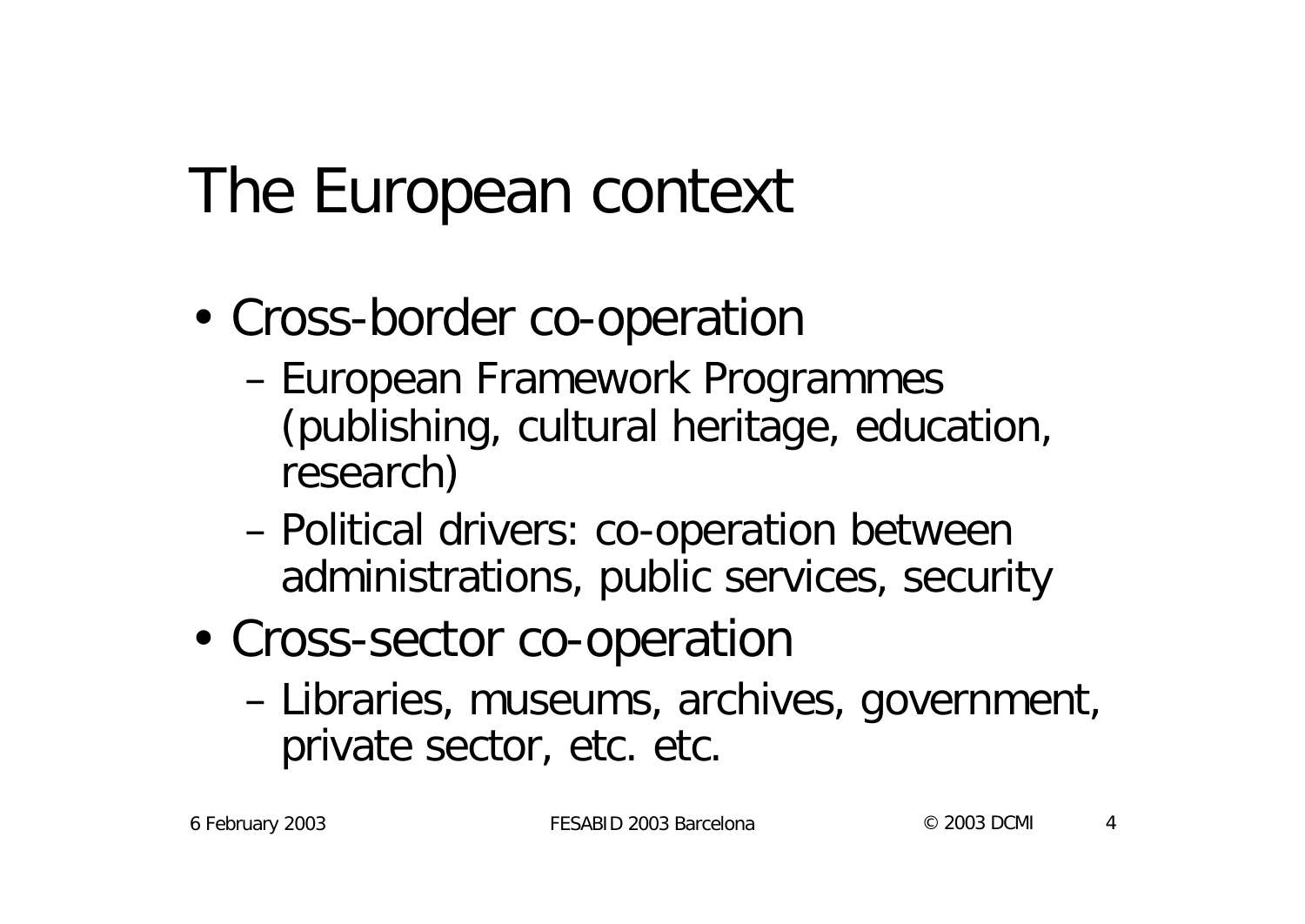# The European context

- Cross-border co-operation
	- European Framework Programmes (publishing, cultural heritage, education, research)
	- Political drivers: co-operation between administrations, public services, security
- Cross-sector co-operation
	- Libraries, museums, archives, government, private sector, etc. etc.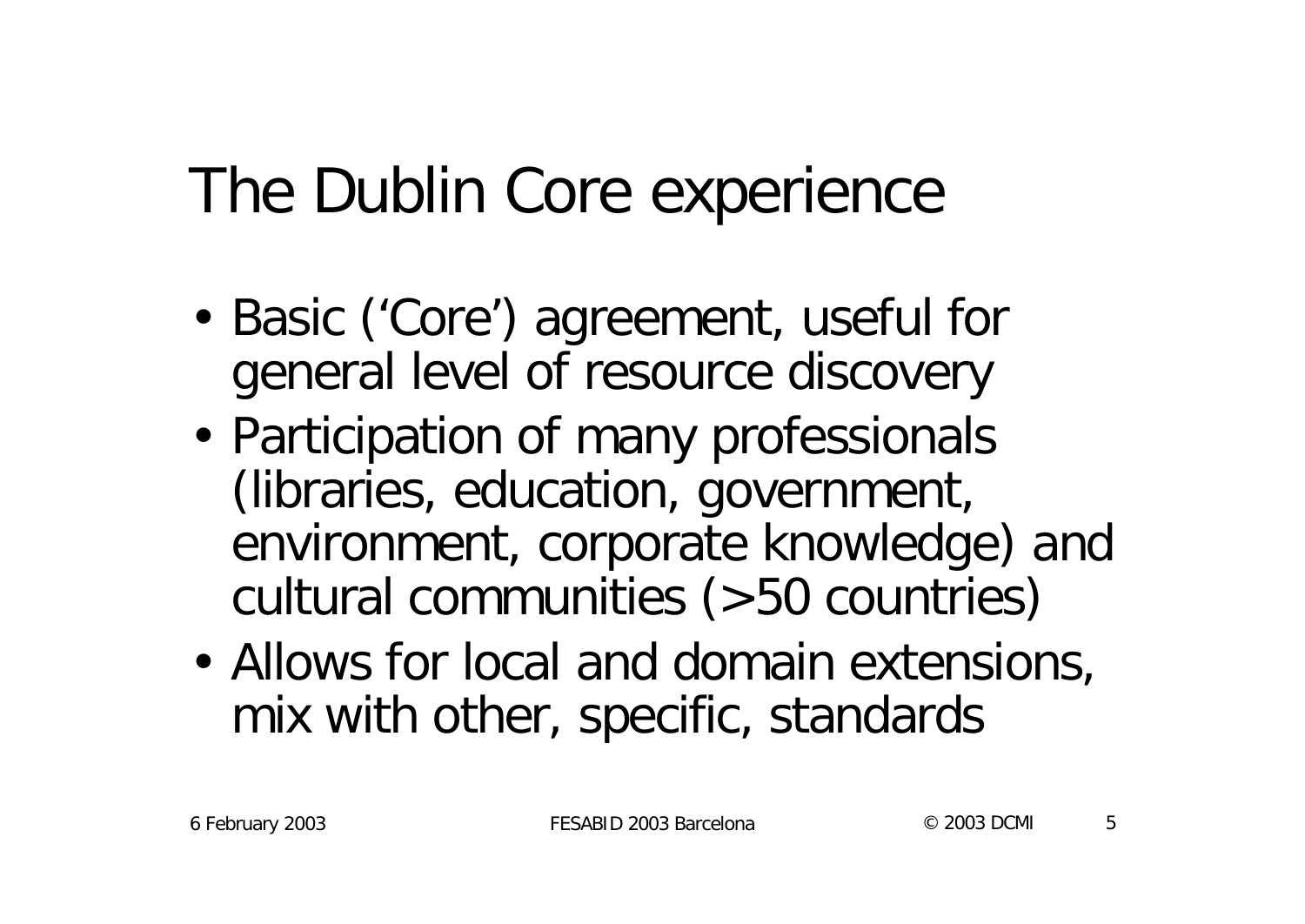# The Dublin Core experience

- Basic ('Core') agreement, useful for general level of resource discovery
- Participation of many professionals (libraries, education, government, environment, corporate knowledge) and cultural communities (>50 countries)
- Allows for local and domain extensions, mix with other, specific, standards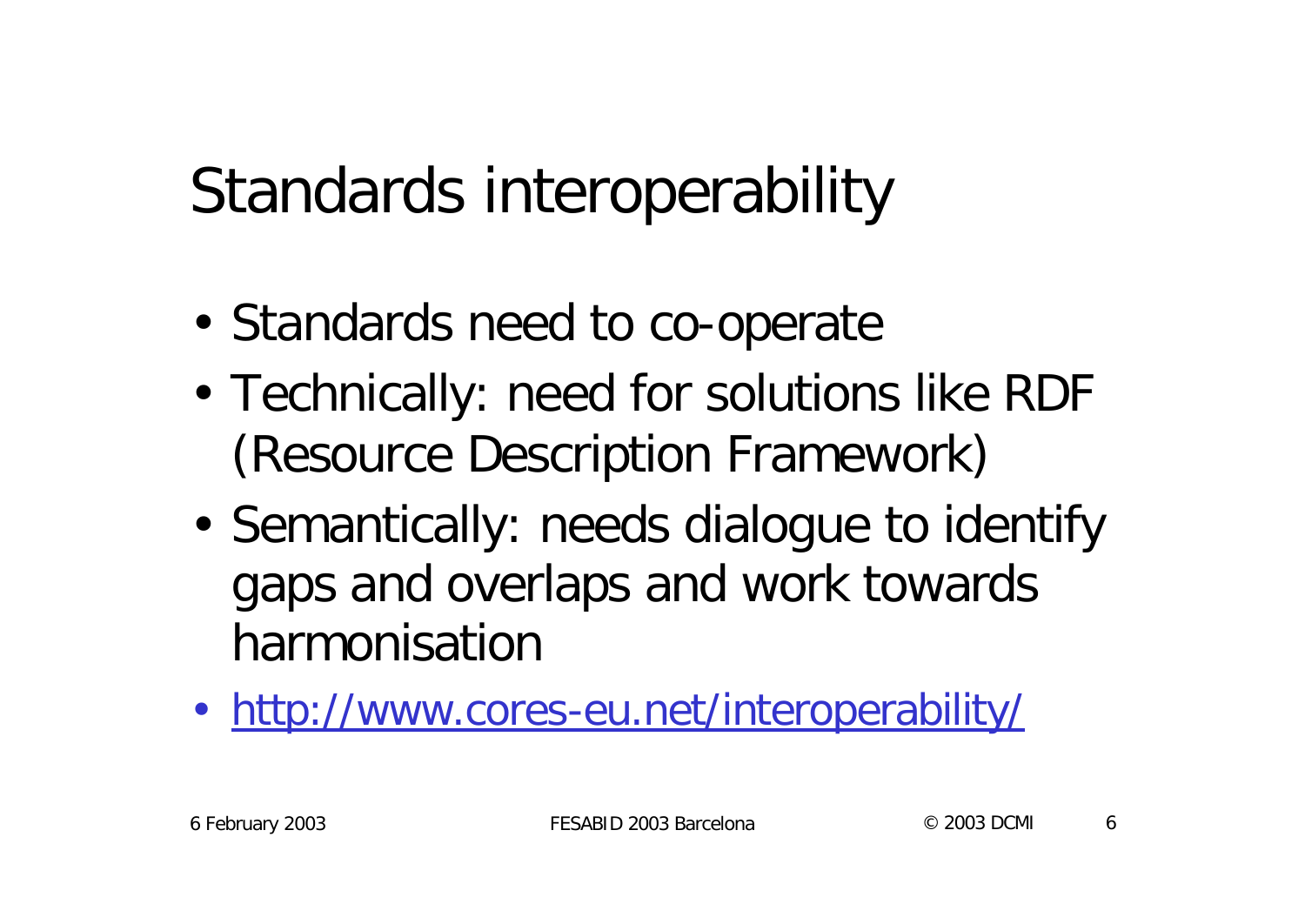# Standards interoperability

- Standards need to co-operate
- Technically: need for solutions like RDF (Resource Description Framework)
- Semantically: needs dialogue to identify gaps and overlaps and work towards harmonisation
- http://www.cores-eu.net/interoperability/